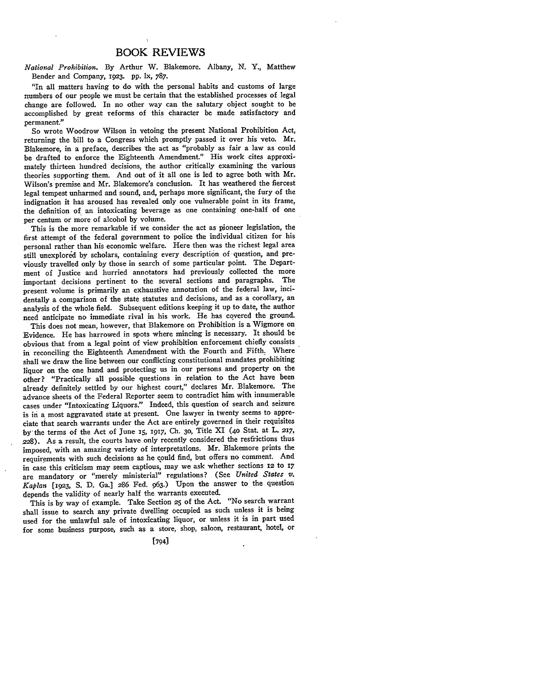## BOOK REVIEWS

*National Prohibition.* **By** Arthur W. Blakemore. Albany, **N.** Y., Matthew Bender and Company, **1923.** pp. Ix, *787.*

"In all matters having to do with the personal habits and customs of large numbers of our people we must be certain that the established processes of legal change are followed. In no other way can the salutary object sought to be accomplished by great reforms of this character be made satisfactory and permanent."

So wrote Woodrow Wilson in vetoing the present National Prohibition Act, returning the bill to a Congress which promptly passed it over his veto. Mr. Blakemore, in a preface, describes the act as "probably as fair a law as could be drafted to enforce the Eighteenth Amendment." His work cites approximately thirteen hundred decisions, the author critically examining the various theories supporting them. And out of it all one is led to agree both with Mr. Wilson's premise and Mr. Blakemore's conclusion. It has weathered the fiercest legal tempest unharmed and sound, and, perhaps more significant, the fury of the indignation it has aroused has revealed only one vulnerable point in its frame, the definition of an intoxicating beverage as one containing one-half of one per centum or more of alcohol by volume.

This is the more remarkable if we consider the act as pioneer legislation, the first attempt of the federal government to police the individual citizen for his personal rather than his economic welfare. Here then was the richest legal area still unexplored by scholars, containing every description of question, and previously travelled only by those in search of some particular point. The Department of Justice and hurried annotators had previously collected the more important decisions pertinent to the several sections and paragraphs. The present volume is primarily an exhaustive annotation of the federal law, incidentally a comparison of the state statutes and decisions, and as a corollary, an analysis of the whole field. Subsequent editions keeping it up to date, the author need anticipate no immediate rival in his work. He has covered the ground.

This does not mean, however, that Blakemore on Prohibition is a Wigmore on Evidence. He has harrowed in spots where mincing is necessary. It should be obvious that from a legal point of view prohibition enforcement chiefly consists in reconciling the Eighteenth Amendment with the Fourth and Fifth. Where shall we draw the line between our conflicting constitutional mandates prohibiting liquor on the one hand and protecting us in our persons and property on the other? "Practically all possible questions in relation to the Act have been already definitely settled **by** our highest court," declares Mr. Blakemore. The advance sheets of the Federal Reporter seem to contradict him with innumerable cases under "Intoxicating Liquors." Indeed, this question of search and seizure is in a most aggravated state at present. One lawyer in twenty seems to appreciate that search warrants under the Act are entirely governed in their requisites by-the terms of the Act of June **I5,** 1917, **Ch.** 3o, Title XI **(40** Stat. at L. 217, z8). As a result, the courts have only recently considered the resfrictions thus imposed, with an amazing variety of interpretations. Mr. Blakemore prints the requirements with such decisions as he could find, but offers no comment. And in case this criticism may seem captious, may we ask whether sections **i2** to **<sup>17</sup>** are mandatory or "merely ministerial" regulations? (See *United States v. Kaplan* [1923, **S.** D. Ga.] 286 Fed. 963.) Upon the answer to the question depends the validity of nearly half the warrants executed.

This is by way of example. Take Section **25** of the Act. "No search warrant shall issue to search any private dwelling occupied as such unless it is being used for the unlawful sale of intoxicating liquor, or unless it is in part used for some business purpose, such as a store, shop, saloon, restaurant, hotel, or

[7941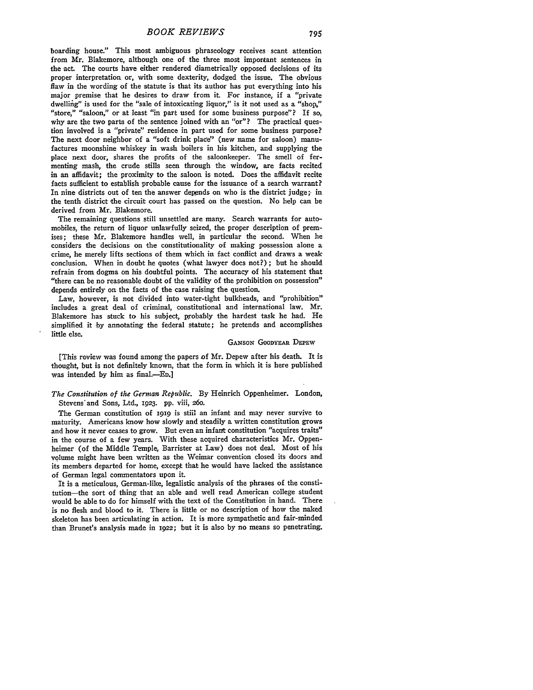boarding house." This most ambiguous phraseology receives scant attention from Mr. Blakemore, although one of the three most important sentences in the act. The courts have either rendered diametrically opposed decisions of its proper interpretation or, with some dexterity, dodged the issue. The obvious flaw in the wording of the statute is that its author has put everything into his major premise that he desires to draw from it. For instance, if a "private dwelling" is used for the "sale of intoxicating liquor," is it not used as a "shop," "store," "saloon," or at least "in part used for some business purpose"? If so, why are the two parts of the sentence joined with an "or"? The practical question involved is a "private" residence in part used for some business purpose? The next door neighbor of a "soft drink place" (new name for saloon) manufactures moonshine whiskey in wash boilers in his kitchen, and supplying the place next door, shares the profits of the saloonkeeper. The smell of fermenting mash, the crude stills seen through the window, are facts recited in an affidavit; the proximity to the saloon is noted. Does the affidavit recite facts sufficient to establish probable cause for the issuance of a search warrant? In nine districts out of ten the answer depends on who is the district judge; in the tenth district the circuit court has passed on the question. No help can be derived from Mr. Blakemore.

The remaining questions still unsettled are many. Search warrants for automobiles, the return of liquor unlawfully seized, the proper description **of** premises; these Mr. Blakemore handles well, in particular the second. When he considers the decisions on the constitutionality of making possession alone a crime, he merely lifts sections of them which in fact conflict and draws a weak conclusion. When in doubt he quotes (what lawyer does not?); but he should refrain from dogma on his doubtful points. The accuracy of his statement that "there can be no reasonable doubt of the validity of the prohibition on possession" depends entirely on the facts of the case raising the question.

Law, however, is not divided into water-tight bulkheads, and "prohibition" includes a great deal of criminal, constitutional and international law. Mr. Blakemore has stuck to his subject, probably the hardest task he had. He simplified it by annotating the federal statute; he pretends and accomplishes little else.

## GANSON GOODYEAR **DEPEw**

[This review was found among the papers of Mr. Depew after his death. It is thought, but is not definitely known, that the form in which it is here published was intended by him as final.—ED.]

*The Constitution of the German Republic.* **By** Heinrich Oppenheimer. London, Stevens'and Sons, Ltd., 1923. **pp.** viii, **260.**

The German constitution of 1919 is stiil an infant and may never survive to maturity. Americans know how slowly and steadily a written constitution grows and how it never ceases to grow. But even an infant constitution "acquires traits" in the course of a few years. With these acquired characteristics Mr. Oppenheimer (of the Middle Temple, Barrister at Law) does not deal. Most of his volume might have been written as the Weimar convention closed its doors and its members departed for home, except that he would have lacked the assistance of German legal commentators upon it.

It is a meticulous, German-like, legalistic analysis of the phrases of the constitution-the sort of thing that an able and well read American college student would be able to do for himself with the text of the Constitution in hand. There is no flesh and blood to it. There is little or no description of how the naked skeleton has been articulating in action. It is more sympathetic and fair-minded than Brunet's analysis made in 1922; but it is also **by** no means so penetrating.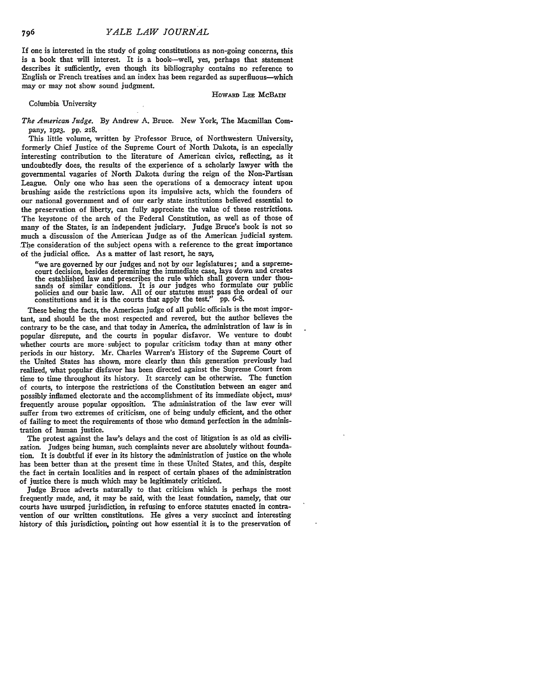If one is interested in the study of going constitutions as non-going concerns, this is a book that will interest. It is a book-well, yes, perhaps that statement describes it sufficiently, even though its bibliography contains no reference to English or French treatises and an index has been regarded as superfluous-which may or may not show sound judgment.

## Columbia University

## **HOWARD** LEE MCBAIN

*The American Judge.* By Andrew A. Bruce. New York, The Macmillan Company, **x923. pp.** 218.

This little volume, written by Professor Bruce, of Northwestern University, formerly Chief Justice of the Supreme Court of North Dakota, is an especially interesting contribution to the literature **of** American civics, reflecting, as it undoubtedly does, the results of the experience of a scholarly lawyer with the governmental vagaries of North Dakota during the reign of the Non-Partisan League. Only one who has seen the operations of a democracy intent upon brushing aside the restrictions upon its impulsive acts, which the founders of our national government and of our early state institutions believed essential to the preservation of liberty, can fully appreciate the value of these restrictions. The keystone of the arch of the Federal Constitution, as well as of those of many of the States, is an independent judiciary. Judge Bruce's book is not so much a discussion of the American judge as of the American judicial system. .The consideration of the subject opens with a reference to the great importance of the judicial office. As a matter of last resort, he says,

"we are governed by our judges and not by our legislatures; and a supremecourt decision, besides determining the immediate case, lays down and creates the established law and prescribes the rule which shall govern under thousands of similar conditions. It is our judges who formulate our public policies and our basic law. All of our statutes must pass the ordeal of our constitutions and it is the courts that apply the test." pp. 6-8.

These being the facts, the American judge of all public officials is the most important, and should be the most respected and revered, but the author believes the contrary to be the case, and that today in America, the administration of law is in popular disrepute, and the courts in popular disfavor. We venture to doubt whether courts are more subject to popular criticism today than at many other periods in our history. Mr. Charles Warren's History of the Supreme Court of the United States has shown, more clearly than this generation previously had realized, what popular disfavor has been directed against the Supreme Court from time to time throughout its history. It scarcely can be otherwise. The function of courts, to interpose the restrictions of the Constitution between an eager and possibly inflamed electorate and the accomplishment of its immediate object, must frequently arouse popular opposition. The administration of the law ever will suffer from two extremes of criticism, one of being unduly efficient, and the other of failing to meet the requirements of those who demand perfection in the administration of human justice.

The protest against the law's delays and the cost of litigation is as old as civilization. Judges being human, such complaints never are absolutely without foundation. It is doubtful if ever in its history the administration of justice on the whole has been better than at the present time in these United States, and this, despite the fact in certain localities and in respect of certain phases of the administration of justice there is much which may be legitimately criticized.

Judge Bruce adverts naturally to that criticism which is perhaps the most frequently made, and, it may be said, with the least foundation, namely, that our courts have usurped jurisdiction, in refusing to enforce statutes enacted in contravention of our written constitutions. He gives a very succinct and interesting history of this jurisdiction, pointing out how essential it is to the preservation of

796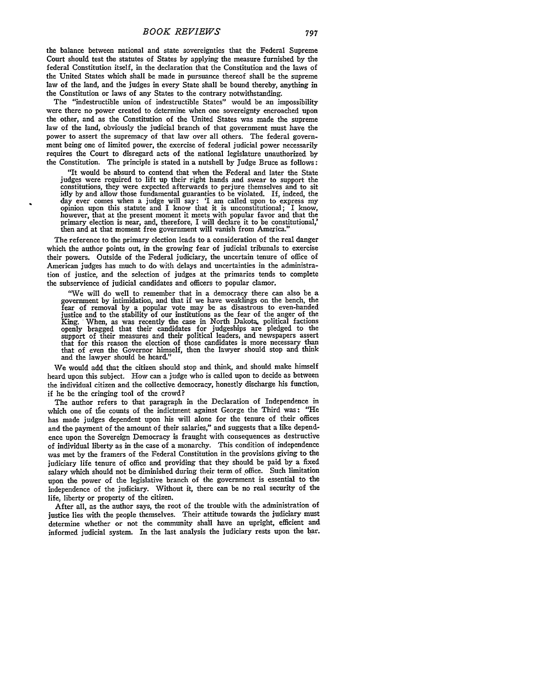the balance between national and state sovereignties that the Federal Supreme Court should test the statutes of States by applying the measure furnished by the federal Constitution itself, in the declaration that the Constitution and the laws of the United States which shall be made in pursuance thereof shall be the supreme law of the land, and the judges in every State shall be bound thereby, anything in the Constitution or laws of any States to the contrary notwithstanding.

The "indestructible union of indestructible States" would be an impossibility were there no power created to determine when one sovereignty encroached upon the other, and as the Constitution of the United States was made the supreme law of the land, obviously the judicial branch of that government must have the power to assert the supremacy of that law over all others. The federal government being one of limited power, the exercise of federal judicial power necessarily requires the Court to disregard acts of the national legislature unauthorized by the Constitution. The principle is stated in a nutshell by Judge Bruce as follows:

"It would be absurd to contend that when the Federal and later the State judges were required to lift up their right hands and swear to support the constitutions, they were expected afterwards to perjure themselves and to sit idly by and allow those fundamental guaranties to be violated. If, indeed, the day ever comes when a judge will say: 'I am called upon to express my opinion upon this statute and I know that it is unconstitutional; I know, however, that at the present moment it meets with popular favor and that the primary election is near, and, therefore, I will declare it to be constitutional,' then and at that moment free government will vanish from America.'

The reference to the primary election leads to a consideration of the real danger which the author points out, in the growing fear of judicial tribunals to exercise their powers. Outside of the Federal judiciary, the uncertain tenure of office of American judges has much to do with delays and uncertainties in the administration of justice, and the selection of judges at the primaries tends to complete the subservience of judicial candidates and officers to popular clamor.

"We will do well to remember that in a democracy there can also be a government by intimidation, and that if we have weaklings on the bench, the fear of removal by a popular vote may be as disastrous to even-handed justice and to the stability of our institutions as the fear of the anger of the When, as was recently the case in North Dakota, political factions openly bragged that their candidates for judgeships are pledged to the support of their measures and their political leaders, and newspapers assert that for this reason the election of those candidates is more necessary than that of even the Governor himself, then the lawyer should stop and think and the lawyer should be heard."

We would add that the citizen should stop and think, and should make himself heard upon this subject. How can a judge who is called upon to decide as between the individual citizen and the collective democracy, honestly discharge his function, if he be the cringing tool of the crowd?

The author refers to that paragraph in the Declaration of Independence in which one of tfie counts of the indictment against George the Third was: "He has made judges dependent upon his will alone for the tenure of their offices and the payment of the amount of their salaries," and suggests that a like dependence upon the Sovereign Democracy is fraught with consequences as destructive of individual liberty as in the case of a monarchy. This condition of independence was met by the framers of the Federal Constitution in the provisions giving to the judiciary life tenure of office and providing that they should be paid by a fixed salary which should not be diminished during their term of office. Such limitation upon the power of the legislative branch of the government is essential to the independence of the judiciary. Without it, there can be no real security of the life, liberty or property of the citizen.

After all, as the author says, the root of the trouble with the administration of justice lies with the people themselves. Their attitude towards the judiciary must determine whether or not the community shall have an upright, efficient and informed judicial system. In the last analysis the judiciary rests upon the bar.